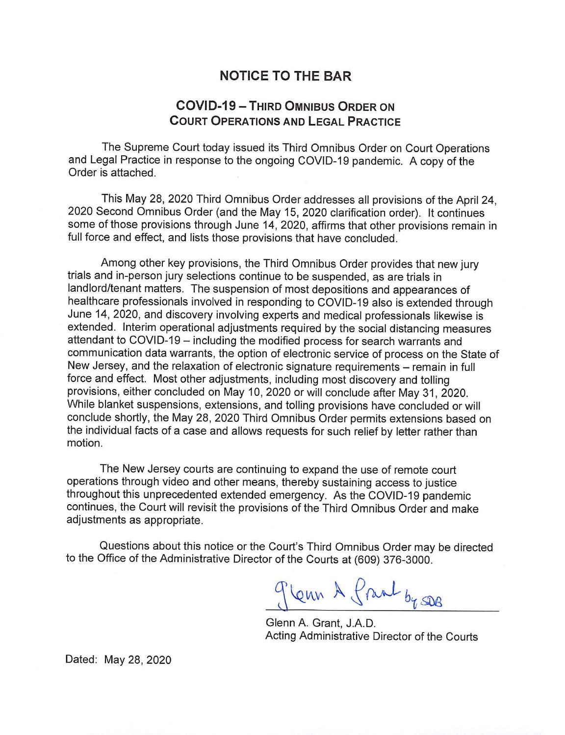## **NOTICE TO THE BAR**

## **COVID-19 - THIRD OMNIBUS ORDER ON COURT OPERATIONS AND LEGAL PRACTICE**

The Supreme Court today issued its Third Omnibus Order on Court Operations and Legal Practice in response to the ongoing COVID-19 pandemic. A copy of the Order is attached.

This May 28, 2020 Third Omnibus Order addresses all provisions of the April 24, 2020 Second Omnibus Order (and the May 15, 2020 clarification order). It continues some of those provisions through June 14, 2020, affirms that other provisions remain in full force and effect, and lists those provisions that have concluded.

Among other key provisions, the Third Omnibus Order provides that new jury trials and in-person jury selections continue to be suspended, as are trials in landlord/tenant matters. The suspension of most depositions and appearances of healthcare professionals involved in responding to COVID-19 also is extended through June 14, 2020, and discovery involving experts and medical professionals likewise is extended. Interim operational adjustments required by the social distancing measures attendant to COVID-19 - including the modified process for search warrants and communication data warrants, the option of electronic service of process on the State of New Jersey, and the relaxation of electronic signature requirements - remain in full force and effect. Most other adjustments, including most discovery and tolling provisions, either concluded on May 10, 2020 or will conclude after May 31 , 2020. While blanket suspensions, extensions, and tolling provisions have concluded or will conclude shortly, the May 28, 2020 Third Omnibus Order permits extensions based on the individual facts of a case and allows requests for such relief by letter rather than motion.

The New Jersey courts are continuing to expand the use of remote court operations through video and other means, thereby sustaining access to justice throughout this unprecedented extended emergency. As the COVID-19 pandemic continues, the Court will revisit the provisions of the Third Omnibus Order and make adjustments as appropriate.

Questions about this notice or the Court's Third Omnibus Order may be directed to the Office of the Administrative Director of the Courts at (609) 376-3000.

gleun A frank by se

Glenn A. Grant, J.A.D. Acting Administrative Director of the Courts

Dated: May 28, 2020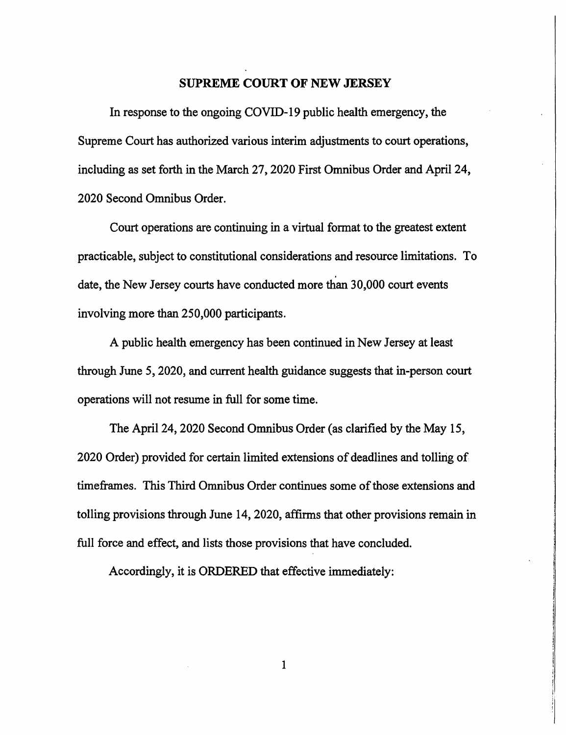## **SUPREME COURT OF NEW JERSEY**

In response to the ongoing COVID-19 public health emergency, the Supreme Court has authorized various interim adjustments to court operations, including as set forth in the March 27, 2020 First Omnibus Order and April 24, 2020 Second Omnibus Order.

Court operations are continuing in a virtual format to the greatest extent practicable, subject to constitutional considerations and resource limitations. To date, the New Jersey courts have conducted more than 30,000 court events involving more than 250,000 participants.

A public health emergency has been continued in New Jersey at least through June 5, 2020, and current health guidance suggests that in-person court operations will not resume in full for some time.

The April 24, 2020 Second Omnibus Order (as clarified by the May 15, 2020 Order) provided for certain limited extensions of deadlines and tolling of timeframes. This Third Omnibus Order continues some of those extensions and tolling provisions through June 14, 2020, affirms that other provisions remain in full force and effect, and lists those provisions that have concluded.

Accordingly, it is ORDERED that effective immediately: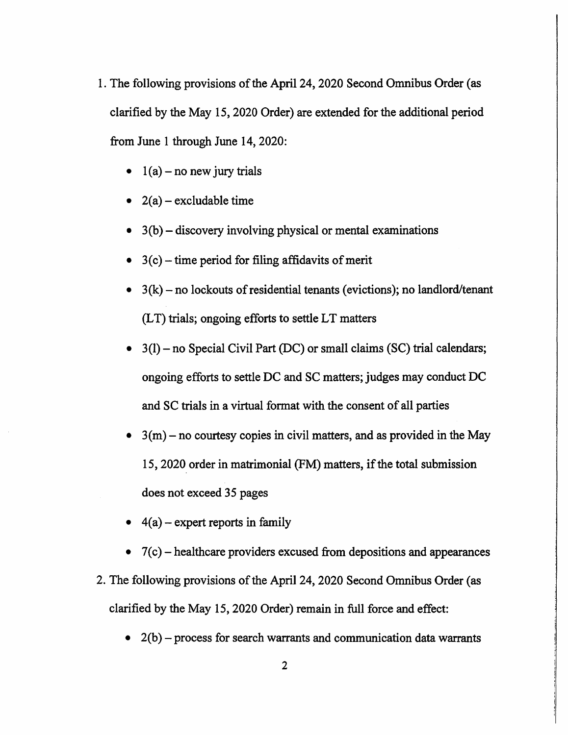- 1. The following provisions of the April 24, 2020 Second Omnibus Order (as clarified by the May 15, 2020 Order) are extended for the additional period from June 1 through June 14, 2020:
	- $1(a)$  no new jury trials
	- $2(a)$  excludable time
	- $3(b)$  discovery involving physical or mental examinations
	- $3(c)$  time period for filing affidavits of merit
	- $3(k)$  no lockouts of residential tenants (evictions); no landlord/tenant (LT) trials; ongoing efforts to settle LT matters
	- $(3(1)$  no Special Civil Part (DC) or small claims (SC) trial calendars; ongoing efforts to settle DC and SC matters; judges may conduct DC and SC trials in a virtual format with the consent of all parties
	- $3(m)$  no courtesy copies in civil matters, and as provided in the May 15, 2020 order in matrimonial (FM) matters, if the total submission does not exceed 35 pages
	- $4(a)$  expert reports in family
	- $7(c)$  healthcare providers excused from depositions and appearances
- 2. The following provisions of the April 24, 2020 Second Omnibus Order ( as clarified by the May 15, 2020 Order) remain in full force and effect:
	- $2(b)$  process for search warrants and communication data warrants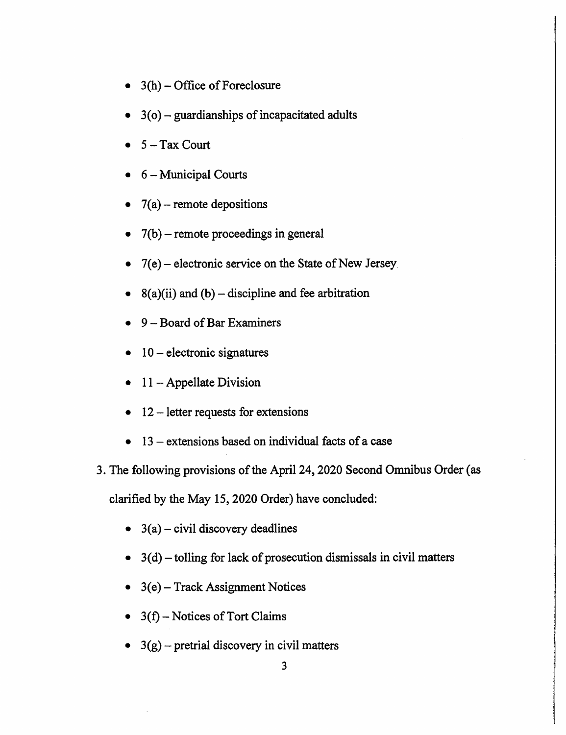- $3(h)$  Office of Foreclosure
- $3$ (o) guardianships of incapacitated adults
- $5 Tax$  Court
- 6 Municipal Courts
- $7(a)$  remote depositions
- $7(b)$  remote proceedings in general
- $7(e)$  electronic service on the State of New Jersey.
- $8(a)(ii)$  and  $(b)$  discipline and fee arbitration
- 9 Board of Bar Examiners
- $10$  electronic signatures
- $11 -$  Appellate Division
- $12$  letter requests for extensions
- $13$  extensions based on individual facts of a case
- 3. The following provisions of the April 24, 2020 Second Omnibus Order ( as

clarified by the May 15, 2020 Order) have concluded:

- $3(a)$  civil discovery deadlines
- $\bullet$  3(d) tolling for lack of prosecution dismissals in civil matters
- $\bullet$  3(e) Track Assignment Notices
- $3(f)$  Notices of Tort Claims
- $3(g)$  pretrial discovery in civil matters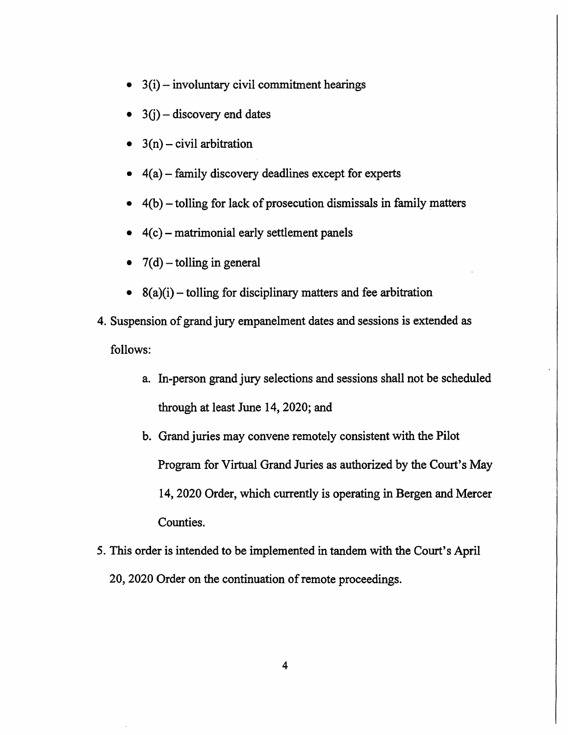- $(3(i) involuntary civil commitment hearings)$
- $3(i)$  discovery end dates
- $3(n)$  civil arbitration
- $4(a)$  family discovery deadlines except for experts
- $4(b)$  tolling for lack of prosecution dismissals in family matters
- $4(c)$  matrimonial early settlement panels
- $7(d)$  tolling in general
- $8(a)(i)$  tolling for disciplinary matters and fee arbitration
- 4. Suspension of grand jury empanelment dates and sessions is extended as follows:
	- a. In-person grand jury selections and sessions shall not be scheduled through at least June 14, 2020; and
	- b. Grand juries may convene remotely consistent with the Pilot Program for Virtual Grand Juries as authorized by the Court's May 14, 2020 Order, which currently is operating in Bergen and Mercer Counties.
- 5. This order is intended to be implemented in tandem with the Court's April 20, 2020 Order on the continuation of remote proceedings.